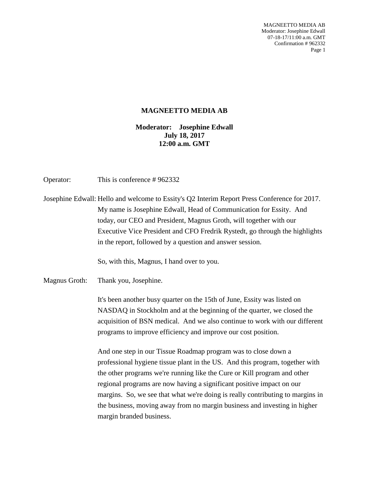MAGNEETTO MEDIA AB Moderator: Josephine Edwall 07-18-17/11:00 a.m. GMT Confirmation # 962332 Page 1

## **MAGNEETTO MEDIA AB**

## **Moderator: Josephine Edwall July 18, 2017 12:00 a.m. GMT**

Operator: This is conference # 962332

Josephine Edwall: Hello and welcome to Essity's Q2 Interim Report Press Conference for 2017. My name is Josephine Edwall, Head of Communication for Essity. And today, our CEO and President, Magnus Groth, will together with our Executive Vice President and CFO Fredrik Rystedt, go through the highlights in the report, followed by a question and answer session.

So, with this, Magnus, I hand over to you.

Magnus Groth: Thank you, Josephine.

It's been another busy quarter on the 15th of June, Essity was listed on NASDAQ in Stockholm and at the beginning of the quarter, we closed the acquisition of BSN medical. And we also continue to work with our different programs to improve efficiency and improve our cost position.

And one step in our Tissue Roadmap program was to close down a professional hygiene tissue plant in the US. And this program, together with the other programs we're running like the Cure or Kill program and other regional programs are now having a significant positive impact on our margins. So, we see that what we're doing is really contributing to margins in the business, moving away from no margin business and investing in higher margin branded business.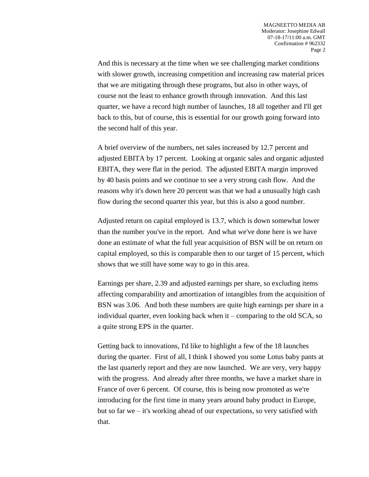And this is necessary at the time when we see challenging market conditions with slower growth, increasing competition and increasing raw material prices that we are mitigating through these programs, but also in other ways, of course not the least to enhance growth through innovation. And this last quarter, we have a record high number of launches, 18 all together and I'll get back to this, but of course, this is essential for our growth going forward into the second half of this year.

A brief overview of the numbers, net sales increased by 12.7 percent and adjusted EBITA by 17 percent. Looking at organic sales and organic adjusted EBITA, they were flat in the period. The adjusted EBITA margin improved by 40 basis points and we continue to see a very strong cash flow. And the reasons why it's down here 20 percent was that we had a unusually high cash flow during the second quarter this year, but this is also a good number.

Adjusted return on capital employed is 13.7, which is down somewhat lower than the number you've in the report. And what we've done here is we have done an estimate of what the full year acquisition of BSN will be on return on capital employed, so this is comparable then to our target of 15 percent, which shows that we still have some way to go in this area.

Earnings per share, 2.39 and adjusted earnings per share, so excluding items affecting comparability and amortization of intangibles from the acquisition of BSN was 3.06. And both these numbers are quite high earnings per share in a individual quarter, even looking back when it – comparing to the old SCA, so a quite strong EPS in the quarter.

Getting back to innovations, I'd like to highlight a few of the 18 launches during the quarter. First of all, I think I showed you some Lotus baby pants at the last quarterly report and they are now launched. We are very, very happy with the progress. And already after three months, we have a market share in France of over 6 percent. Of course, this is being now promoted as we're introducing for the first time in many years around baby product in Europe, but so far we – it's working ahead of our expectations, so very satisfied with that.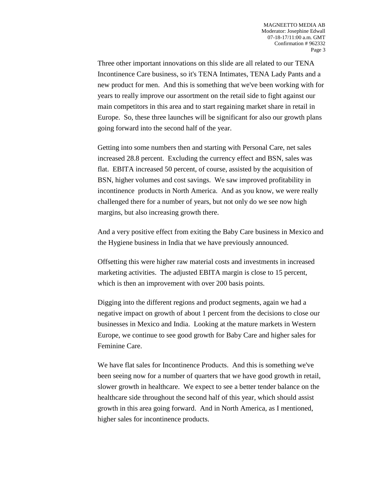Three other important innovations on this slide are all related to our TENA Incontinence Care business, so it's TENA Intimates, TENA Lady Pants and a new product for men. And this is something that we've been working with for years to really improve our assortment on the retail side to fight against our main competitors in this area and to start regaining market share in retail in Europe. So, these three launches will be significant for also our growth plans going forward into the second half of the year.

Getting into some numbers then and starting with Personal Care, net sales increased 28.8 percent. Excluding the currency effect and BSN, sales was flat. EBITA increased 50 percent, of course, assisted by the acquisition of BSN, higher volumes and cost savings. We saw improved profitability in incontinence products in North America. And as you know, we were really challenged there for a number of years, but not only do we see now high margins, but also increasing growth there.

And a very positive effect from exiting the Baby Care business in Mexico and the Hygiene business in India that we have previously announced.

Offsetting this were higher raw material costs and investments in increased marketing activities. The adjusted EBITA margin is close to 15 percent, which is then an improvement with over 200 basis points.

Digging into the different regions and product segments, again we had a negative impact on growth of about 1 percent from the decisions to close our businesses in Mexico and India. Looking at the mature markets in Western Europe, we continue to see good growth for Baby Care and higher sales for Feminine Care.

We have flat sales for Incontinence Products. And this is something we've been seeing now for a number of quarters that we have good growth in retail, slower growth in healthcare. We expect to see a better tender balance on the healthcare side throughout the second half of this year, which should assist growth in this area going forward. And in North America, as I mentioned, higher sales for incontinence products.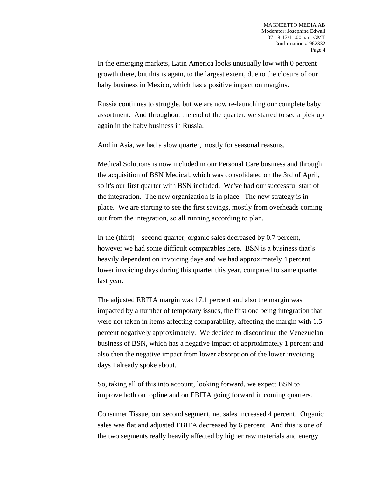In the emerging markets, Latin America looks unusually low with 0 percent growth there, but this is again, to the largest extent, due to the closure of our baby business in Mexico, which has a positive impact on margins.

Russia continues to struggle, but we are now re-launching our complete baby assortment. And throughout the end of the quarter, we started to see a pick up again in the baby business in Russia.

And in Asia, we had a slow quarter, mostly for seasonal reasons.

Medical Solutions is now included in our Personal Care business and through the acquisition of BSN Medical, which was consolidated on the 3rd of April, so it's our first quarter with BSN included. We've had our successful start of the integration. The new organization is in place. The new strategy is in place. We are starting to see the first savings, mostly from overheads coming out from the integration, so all running according to plan.

In the (third) – second quarter, organic sales decreased by 0.7 percent, however we had some difficult comparables here. BSN is a business that's heavily dependent on invoicing days and we had approximately 4 percent lower invoicing days during this quarter this year, compared to same quarter last year.

The adjusted EBITA margin was 17.1 percent and also the margin was impacted by a number of temporary issues, the first one being integration that were not taken in items affecting comparability, affecting the margin with 1.5 percent negatively approximately. We decided to discontinue the Venezuelan business of BSN, which has a negative impact of approximately 1 percent and also then the negative impact from lower absorption of the lower invoicing days I already spoke about.

So, taking all of this into account, looking forward, we expect BSN to improve both on topline and on EBITA going forward in coming quarters.

Consumer Tissue, our second segment, net sales increased 4 percent. Organic sales was flat and adjusted EBITA decreased by 6 percent. And this is one of the two segments really heavily affected by higher raw materials and energy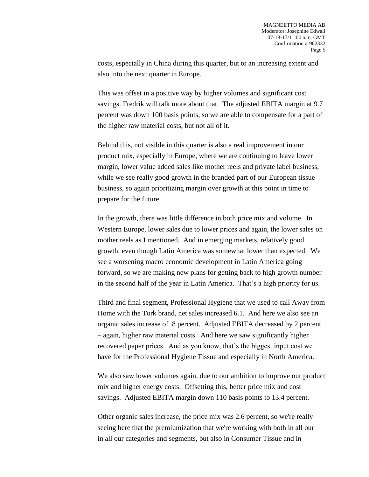costs, especially in China during this quarter, but to an increasing extent and also into the next quarter in Europe.

This was offset in a positive way by higher volumes and significant cost savings. Fredrik will talk more about that. The adjusted EBITA margin at 9.7 percent was down 100 basis points, so we are able to compensate for a part of the higher raw material costs, but not all of it.

Behind this, not visible in this quarter is also a real improvement in our product mix, especially in Europe, where we are continuing to leave lower margin, lower value added sales like mother reels and private label business, while we see really good growth in the branded part of our European tissue business, so again prioritizing margin over growth at this point in time to prepare for the future.

In the growth, there was little difference in both price mix and volume. In Western Europe, lower sales due to lower prices and again, the lower sales on mother reels as I mentioned. And in emerging markets, relatively good growth, even though Latin America was somewhat lower than expected. We see a worsening macro economic development in Latin America going forward, so we are making new plans for getting back to high growth number in the second half of the year in Latin America. That's a high priority for us.

Third and final segment, Professional Hygiene that we used to call Away from Home with the Tork brand, net sales increased 6.1. And here we also see an organic sales increase of .8 percent. Adjusted EBITA decreased by 2 percent – again, higher raw material costs. And here we saw significantly higher recovered paper prices. And as you know, that's the biggest input cost we have for the Professional Hygiene Tissue and especially in North America.

We also saw lower volumes again, due to our ambition to improve our product mix and higher energy costs. Offsetting this, better price mix and cost savings. Adjusted EBITA margin down 110 basis points to 13.4 percent.

Other organic sales increase, the price mix was 2.6 percent, so we're really seeing here that the premiumization that we're working with both in all our – in all our categories and segments, but also in Consumer Tissue and in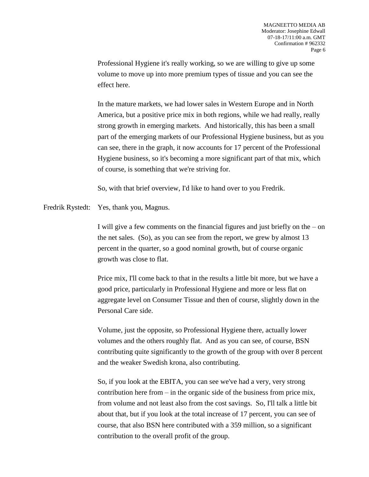Professional Hygiene it's really working, so we are willing to give up some volume to move up into more premium types of tissue and you can see the effect here.

In the mature markets, we had lower sales in Western Europe and in North America, but a positive price mix in both regions, while we had really, really strong growth in emerging markets. And historically, this has been a small part of the emerging markets of our Professional Hygiene business, but as you can see, there in the graph, it now accounts for 17 percent of the Professional Hygiene business, so it's becoming a more significant part of that mix, which of course, is something that we're striving for.

So, with that brief overview, I'd like to hand over to you Fredrik.

Fredrik Rystedt: Yes, thank you, Magnus.

I will give a few comments on the financial figures and just briefly on the – on the net sales. (So), as you can see from the report, we grew by almost 13 percent in the quarter, so a good nominal growth, but of course organic growth was close to flat.

Price mix, I'll come back to that in the results a little bit more, but we have a good price, particularly in Professional Hygiene and more or less flat on aggregate level on Consumer Tissue and then of course, slightly down in the Personal Care side.

Volume, just the opposite, so Professional Hygiene there, actually lower volumes and the others roughly flat. And as you can see, of course, BSN contributing quite significantly to the growth of the group with over 8 percent and the weaker Swedish krona, also contributing.

So, if you look at the EBITA, you can see we've had a very, very strong contribution here from – in the organic side of the business from price mix, from volume and not least also from the cost savings. So, I'll talk a little bit about that, but if you look at the total increase of 17 percent, you can see of course, that also BSN here contributed with a 359 million, so a significant contribution to the overall profit of the group.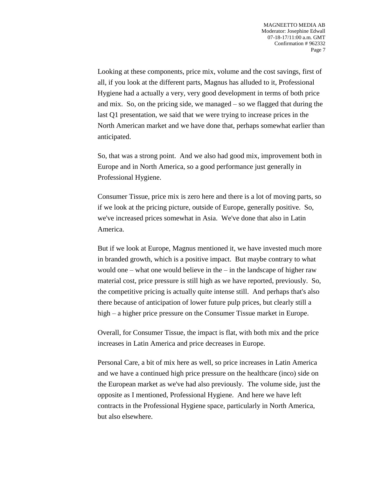Looking at these components, price mix, volume and the cost savings, first of all, if you look at the different parts, Magnus has alluded to it, Professional Hygiene had a actually a very, very good development in terms of both price and mix. So, on the pricing side, we managed – so we flagged that during the last Q1 presentation, we said that we were trying to increase prices in the North American market and we have done that, perhaps somewhat earlier than anticipated.

So, that was a strong point. And we also had good mix, improvement both in Europe and in North America, so a good performance just generally in Professional Hygiene.

Consumer Tissue, price mix is zero here and there is a lot of moving parts, so if we look at the pricing picture, outside of Europe, generally positive. So, we've increased prices somewhat in Asia. We've done that also in Latin America.

But if we look at Europe, Magnus mentioned it, we have invested much more in branded growth, which is a positive impact. But maybe contrary to what would one – what one would believe in the – in the landscape of higher raw material cost, price pressure is still high as we have reported, previously. So, the competitive pricing is actually quite intense still. And perhaps that's also there because of anticipation of lower future pulp prices, but clearly still a high – a higher price pressure on the Consumer Tissue market in Europe.

Overall, for Consumer Tissue, the impact is flat, with both mix and the price increases in Latin America and price decreases in Europe.

Personal Care, a bit of mix here as well, so price increases in Latin America and we have a continued high price pressure on the healthcare (inco) side on the European market as we've had also previously. The volume side, just the opposite as I mentioned, Professional Hygiene. And here we have left contracts in the Professional Hygiene space, particularly in North America, but also elsewhere.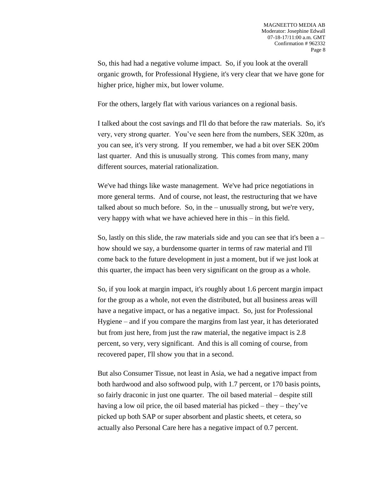So, this had had a negative volume impact. So, if you look at the overall organic growth, for Professional Hygiene, it's very clear that we have gone for higher price, higher mix, but lower volume.

For the others, largely flat with various variances on a regional basis.

I talked about the cost savings and I'll do that before the raw materials. So, it's very, very strong quarter. You've seen here from the numbers, SEK 320m, as you can see, it's very strong. If you remember, we had a bit over SEK 200m last quarter. And this is unusually strong. This comes from many, many different sources, material rationalization.

We've had things like waste management. We've had price negotiations in more general terms. And of course, not least, the restructuring that we have talked about so much before. So, in the – unusually strong, but we're very, very happy with what we have achieved here in this – in this field.

So, lastly on this slide, the raw materials side and you can see that it's been  $a$ how should we say, a burdensome quarter in terms of raw material and I'll come back to the future development in just a moment, but if we just look at this quarter, the impact has been very significant on the group as a whole.

So, if you look at margin impact, it's roughly about 1.6 percent margin impact for the group as a whole, not even the distributed, but all business areas will have a negative impact, or has a negative impact. So, just for Professional Hygiene – and if you compare the margins from last year, it has deteriorated but from just here, from just the raw material, the negative impact is 2.8 percent, so very, very significant. And this is all coming of course, from recovered paper, I'll show you that in a second.

But also Consumer Tissue, not least in Asia, we had a negative impact from both hardwood and also softwood pulp, with 1.7 percent, or 170 basis points, so fairly draconic in just one quarter. The oil based material – despite still having a low oil price, the oil based material has picked – they – they've picked up both SAP or super absorbent and plastic sheets, et cetera, so actually also Personal Care here has a negative impact of 0.7 percent.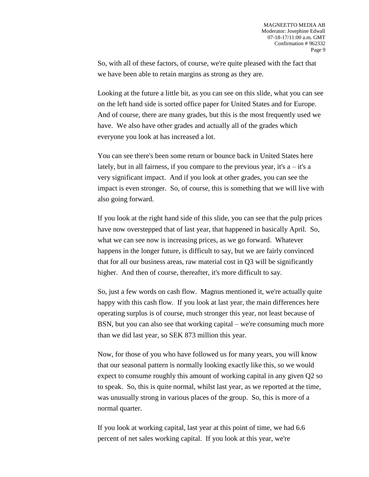So, with all of these factors, of course, we're quite pleased with the fact that we have been able to retain margins as strong as they are.

Looking at the future a little bit, as you can see on this slide, what you can see on the left hand side is sorted office paper for United States and for Europe. And of course, there are many grades, but this is the most frequently used we have. We also have other grades and actually all of the grades which everyone you look at has increased a lot.

You can see there's been some return or bounce back in United States here lately, but in all fairness, if you compare to the previous year, it's  $a - it's a$ very significant impact. And if you look at other grades, you can see the impact is even stronger. So, of course, this is something that we will live with also going forward.

If you look at the right hand side of this slide, you can see that the pulp prices have now overstepped that of last year, that happened in basically April. So, what we can see now is increasing prices, as we go forward. Whatever happens in the longer future, is difficult to say, but we are fairly convinced that for all our business areas, raw material cost in Q3 will be significantly higher. And then of course, thereafter, it's more difficult to say.

So, just a few words on cash flow. Magnus mentioned it, we're actually quite happy with this cash flow. If you look at last year, the main differences here operating surplus is of course, much stronger this year, not least because of BSN, but you can also see that working capital – we're consuming much more than we did last year, so SEK 873 million this year.

Now, for those of you who have followed us for many years, you will know that our seasonal pattern is normally looking exactly like this, so we would expect to consume roughly this amount of working capital in any given Q2 so to speak. So, this is quite normal, whilst last year, as we reported at the time, was unusually strong in various places of the group. So, this is more of a normal quarter.

If you look at working capital, last year at this point of time, we had 6.6 percent of net sales working capital. If you look at this year, we're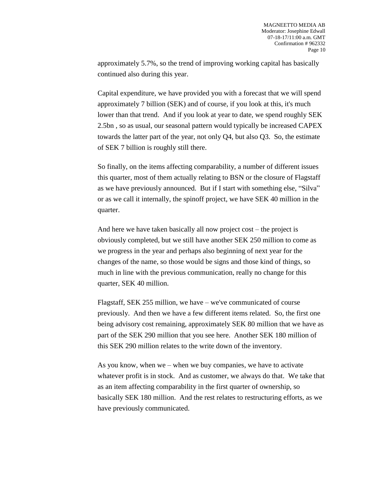approximately 5.7%, so the trend of improving working capital has basically continued also during this year.

Capital expenditure, we have provided you with a forecast that we will spend approximately 7 billion (SEK) and of course, if you look at this, it's much lower than that trend. And if you look at year to date, we spend roughly SEK 2.5bn , so as usual, our seasonal pattern would typically be increased CAPEX towards the latter part of the year, not only Q4, but also Q3. So, the estimate of SEK 7 billion is roughly still there.

So finally, on the items affecting comparability, a number of different issues this quarter, most of them actually relating to BSN or the closure of Flagstaff as we have previously announced. But if I start with something else, "Silva" or as we call it internally, the spinoff project, we have SEK 40 million in the quarter.

And here we have taken basically all now project cost – the project is obviously completed, but we still have another SEK 250 million to come as we progress in the year and perhaps also beginning of next year for the changes of the name, so those would be signs and those kind of things, so much in line with the previous communication, really no change for this quarter, SEK 40 million.

Flagstaff, SEK 255 million, we have – we've communicated of course previously. And then we have a few different items related. So, the first one being advisory cost remaining, approximately SEK 80 million that we have as part of the SEK 290 million that you see here. Another SEK 180 million of this SEK 290 million relates to the write down of the inventory.

As you know, when we – when we buy companies, we have to activate whatever profit is in stock. And as customer, we always do that. We take that as an item affecting comparability in the first quarter of ownership, so basically SEK 180 million. And the rest relates to restructuring efforts, as we have previously communicated.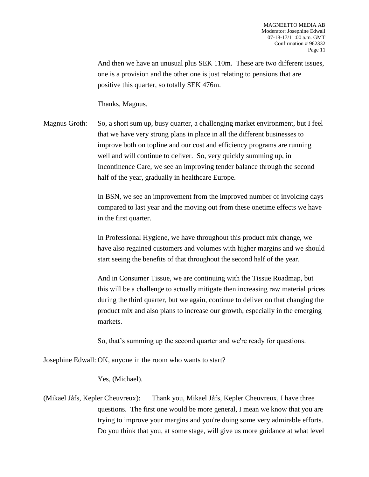And then we have an unusual plus SEK 110m. These are two different issues, one is a provision and the other one is just relating to pensions that are positive this quarter, so totally SEK 476m.

Thanks, Magnus.

Magnus Groth: So, a short sum up, busy quarter, a challenging market environment, but I feel that we have very strong plans in place in all the different businesses to improve both on topline and our cost and efficiency programs are running well and will continue to deliver. So, very quickly summing up, in Incontinence Care, we see an improving tender balance through the second half of the year, gradually in healthcare Europe.

> In BSN, we see an improvement from the improved number of invoicing days compared to last year and the moving out from these onetime effects we have in the first quarter.

> In Professional Hygiene, we have throughout this product mix change, we have also regained customers and volumes with higher margins and we should start seeing the benefits of that throughout the second half of the year.

> And in Consumer Tissue, we are continuing with the Tissue Roadmap, but this will be a challenge to actually mitigate then increasing raw material prices during the third quarter, but we again, continue to deliver on that changing the product mix and also plans to increase our growth, especially in the emerging markets.

So, that's summing up the second quarter and we're ready for questions.

Josephine Edwall: OK, anyone in the room who wants to start?

Yes, (Michael).

(Mikael Jåfs, Kepler Cheuvreux): Thank you, Mikael Jåfs, Kepler Cheuvreux, I have three questions. The first one would be more general, I mean we know that you are trying to improve your margins and you're doing some very admirable efforts. Do you think that you, at some stage, will give us more guidance at what level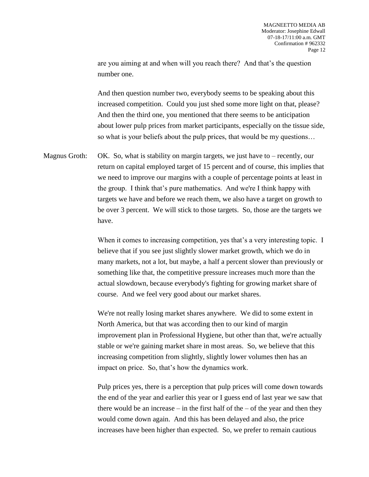are you aiming at and when will you reach there? And that's the question number one.

And then question number two, everybody seems to be speaking about this increased competition. Could you just shed some more light on that, please? And then the third one, you mentioned that there seems to be anticipation about lower pulp prices from market participants, especially on the tissue side, so what is your beliefs about the pulp prices, that would be my questions…

Magnus Groth: OK. So, what is stability on margin targets, we just have to – recently, our return on capital employed target of 15 percent and of course, this implies that we need to improve our margins with a couple of percentage points at least in the group. I think that's pure mathematics. And we're I think happy with targets we have and before we reach them, we also have a target on growth to be over 3 percent. We will stick to those targets. So, those are the targets we have.

> When it comes to increasing competition, yes that's a very interesting topic. I believe that if you see just slightly slower market growth, which we do in many markets, not a lot, but maybe, a half a percent slower than previously or something like that, the competitive pressure increases much more than the actual slowdown, because everybody's fighting for growing market share of course. And we feel very good about our market shares.

> We're not really losing market shares anywhere. We did to some extent in North America, but that was according then to our kind of margin improvement plan in Professional Hygiene, but other than that, we're actually stable or we're gaining market share in most areas. So, we believe that this increasing competition from slightly, slightly lower volumes then has an impact on price. So, that's how the dynamics work.

> Pulp prices yes, there is a perception that pulp prices will come down towards the end of the year and earlier this year or I guess end of last year we saw that there would be an increase  $-$  in the first half of the  $-$  of the year and then they would come down again. And this has been delayed and also, the price increases have been higher than expected. So, we prefer to remain cautious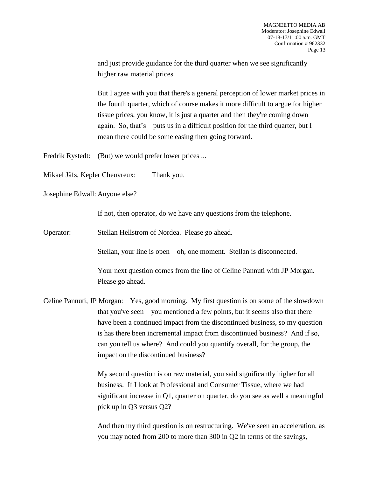and just provide guidance for the third quarter when we see significantly higher raw material prices.

But I agree with you that there's a general perception of lower market prices in the fourth quarter, which of course makes it more difficult to argue for higher tissue prices, you know, it is just a quarter and then they're coming down again. So, that's – puts us in a difficult position for the third quarter, but I mean there could be some easing then going forward.

Fredrik Rystedt: (But) we would prefer lower prices ...

Mikael Jåfs, Kepler Cheuvreux: Thank you.

Josephine Edwall: Anyone else?

If not, then operator, do we have any questions from the telephone.

Operator: Stellan Hellstrom of Nordea. Please go ahead.

Stellan, your line is open – oh, one moment. Stellan is disconnected.

Your next question comes from the line of Celine Pannuti with JP Morgan. Please go ahead.

Celine Pannuti, JP Morgan: Yes, good morning. My first question is on some of the slowdown that you've seen – you mentioned a few points, but it seems also that there have been a continued impact from the discontinued business, so my question is has there been incremental impact from discontinued business? And if so, can you tell us where? And could you quantify overall, for the group, the impact on the discontinued business?

> My second question is on raw material, you said significantly higher for all business. If I look at Professional and Consumer Tissue, where we had significant increase in Q1, quarter on quarter, do you see as well a meaningful pick up in Q3 versus Q2?

> And then my third question is on restructuring. We've seen an acceleration, as you may noted from 200 to more than 300 in Q2 in terms of the savings,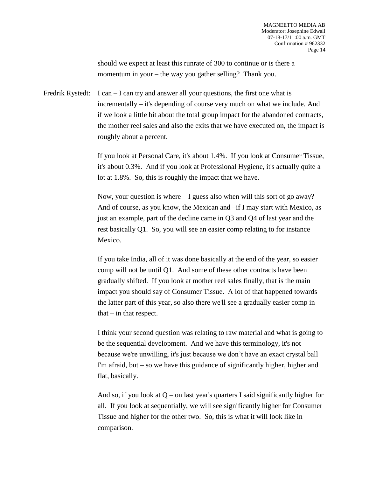should we expect at least this runrate of 300 to continue or is there a momentum in your – the way you gather selling? Thank you.

Fredrik Rystedt: I can  $-$  I can try and answer all your questions, the first one what is incrementally – it's depending of course very much on what we include. And if we look a little bit about the total group impact for the abandoned contracts, the mother reel sales and also the exits that we have executed on, the impact is roughly about a percent.

> If you look at Personal Care, it's about 1.4%. If you look at Consumer Tissue, it's about 0.3%. And if you look at Professional Hygiene, it's actually quite a lot at 1.8%. So, this is roughly the impact that we have.

> Now, your question is where – I guess also when will this sort of go away? And of course, as you know, the Mexican and –if I may start with Mexico, as just an example, part of the decline came in Q3 and Q4 of last year and the rest basically Q1. So, you will see an easier comp relating to for instance Mexico.

If you take India, all of it was done basically at the end of the year, so easier comp will not be until Q1. And some of these other contracts have been gradually shifted. If you look at mother reel sales finally, that is the main impact you should say of Consumer Tissue. A lot of that happened towards the latter part of this year, so also there we'll see a gradually easier comp in that  $-$  in that respect.

I think your second question was relating to raw material and what is going to be the sequential development. And we have this terminology, it's not because we're unwilling, it's just because we don't have an exact crystal ball I'm afraid, but – so we have this guidance of significantly higher, higher and flat, basically.

And so, if you look at  $Q$  – on last year's quarters I said significantly higher for all. If you look at sequentially, we will see significantly higher for Consumer Tissue and higher for the other two. So, this is what it will look like in comparison.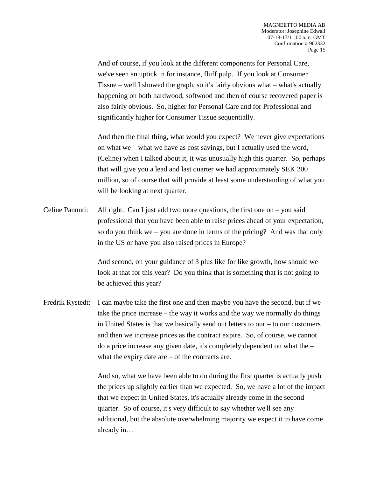And of course, if you look at the different components for Personal Care, we've seen an uptick in for instance, fluff pulp. If you look at Consumer Tissue – well I showed the graph, so it's fairly obvious what – what's actually happening on both hardwood, softwood and then of course recovered paper is also fairly obvious. So, higher for Personal Care and for Professional and significantly higher for Consumer Tissue sequentially.

And then the final thing, what would you expect? We never give expectations on what we – what we have as cost savings, but I actually used the word, (Celine) when I talked about it, it was unusually high this quarter. So, perhaps that will give you a lead and last quarter we had approximately SEK 200 million, so of course that will provide at least some understanding of what you will be looking at next quarter.

Celine Pannuti: All right. Can I just add two more questions, the first one on – you said professional that you have been able to raise prices ahead of your expectation, so do you think we – you are done in terms of the pricing? And was that only in the US or have you also raised prices in Europe?

> And second, on your guidance of 3 plus like for like growth, how should we look at that for this year? Do you think that is something that is not going to be achieved this year?

Fredrik Rystedt: I can maybe take the first one and then maybe you have the second, but if we take the price increase – the way it works and the way we normally do things in United States is that we basically send out letters to our – to our customers and then we increase prices as the contract expire. So, of course, we cannot do a price increase any given date, it's completely dependent on what the – what the expiry date are  $-$  of the contracts are.

> And so, what we have been able to do during the first quarter is actually push the prices up slightly earlier than we expected. So, we have a lot of the impact that we expect in United States, it's actually already come in the second quarter. So of course, it's very difficult to say whether we'll see any additional, but the absolute overwhelming majority we expect it to have come already in…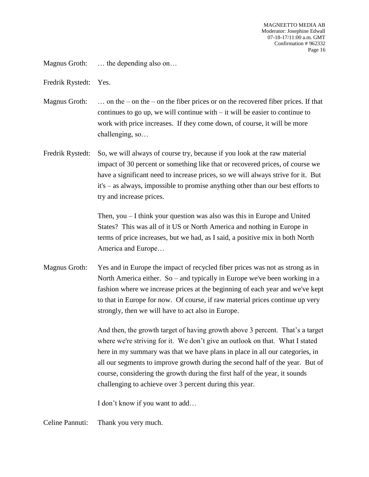Magnus Groth: ... the depending also on...

Fredrik Rystedt: Yes.

Magnus Groth: … on the – on the – on the fiber prices or on the recovered fiber prices. If that continues to go up, we will continue with  $-$  it will be easier to continue to work with price increases. If they come down, of course, it will be more challenging, so…

Fredrik Rystedt: So, we will always of course try, because if you look at the raw material impact of 30 percent or something like that or recovered prices, of course we have a significant need to increase prices, so we will always strive for it. But it's – as always, impossible to promise anything other than our best efforts to try and increase prices.

> Then, you – I think your question was also was this in Europe and United States? This was all of it US or North America and nothing in Europe in terms of price increases, but we had, as I said, a positive mix in both North America and Europe…

Magnus Groth: Yes and in Europe the impact of recycled fiber prices was not as strong as in North America either. So – and typically in Europe we've been working in a fashion where we increase prices at the beginning of each year and we've kept to that in Europe for now. Of course, if raw material prices continue up very strongly, then we will have to act also in Europe.

> And then, the growth target of having growth above 3 percent. That's a target where we're striving for it. We don't give an outlook on that. What I stated here in my summary was that we have plans in place in all our categories, in all our segments to improve growth during the second half of the year. But of course, considering the growth during the first half of the year, it sounds challenging to achieve over 3 percent during this year.

I don't know if you want to add…

Celine Pannuti: Thank you very much.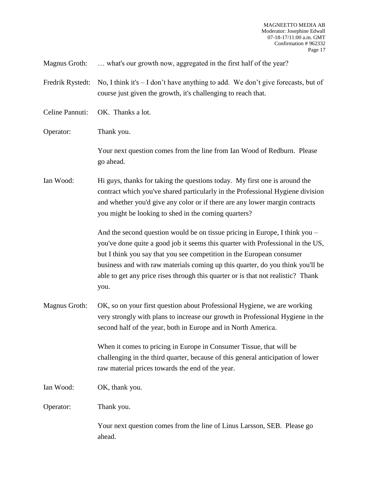Magnus Groth: … what's our growth now, aggregated in the first half of the year?

Fredrik Rystedt: No, I think it's – I don't have anything to add. We don't give forecasts, but of course just given the growth, it's challenging to reach that.

Celine Pannuti: OK. Thanks a lot.

Operator: Thank you.

Your next question comes from the line from Ian Wood of Redburn. Please go ahead.

Ian Wood: Hi guys, thanks for taking the questions today. My first one is around the contract which you've shared particularly in the Professional Hygiene division and whether you'd give any color or if there are any lower margin contracts you might be looking to shed in the coming quarters?

> And the second question would be on tissue pricing in Europe, I think you – you've done quite a good job it seems this quarter with Professional in the US, but I think you say that you see competition in the European consumer business and with raw materials coming up this quarter, do you think you'll be able to get any price rises through this quarter or is that not realistic? Thank you.

Magnus Groth: OK, so on your first question about Professional Hygiene, we are working very strongly with plans to increase our growth in Professional Hygiene in the second half of the year, both in Europe and in North America.

> When it comes to pricing in Europe in Consumer Tissue, that will be challenging in the third quarter, because of this general anticipation of lower raw material prices towards the end of the year.

Ian Wood: OK, thank you.

Operator: Thank you.

Your next question comes from the line of Linus Larsson, SEB. Please go ahead.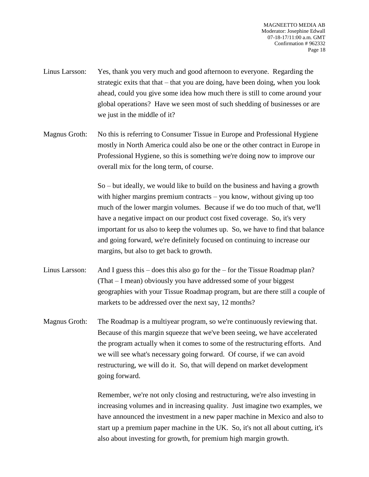- Linus Larsson: Yes, thank you very much and good afternoon to everyone. Regarding the strategic exits that that – that you are doing, have been doing, when you look ahead, could you give some idea how much there is still to come around your global operations? Have we seen most of such shedding of businesses or are we just in the middle of it?
- Magnus Groth: No this is referring to Consumer Tissue in Europe and Professional Hygiene mostly in North America could also be one or the other contract in Europe in Professional Hygiene, so this is something we're doing now to improve our overall mix for the long term, of course.

So – but ideally, we would like to build on the business and having a growth with higher margins premium contracts – you know, without giving up too much of the lower margin volumes. Because if we do too much of that, we'll have a negative impact on our product cost fixed coverage. So, it's very important for us also to keep the volumes up. So, we have to find that balance and going forward, we're definitely focused on continuing to increase our margins, but also to get back to growth.

- Linus Larsson: And I guess this does this also go for the for the Tissue Roadmap plan? (That – I mean) obviously you have addressed some of your biggest geographies with your Tissue Roadmap program, but are there still a couple of markets to be addressed over the next say, 12 months?
- Magnus Groth: The Roadmap is a multiyear program, so we're continuously reviewing that. Because of this margin squeeze that we've been seeing, we have accelerated the program actually when it comes to some of the restructuring efforts. And we will see what's necessary going forward. Of course, if we can avoid restructuring, we will do it. So, that will depend on market development going forward.

Remember, we're not only closing and restructuring, we're also investing in increasing volumes and in increasing quality. Just imagine two examples, we have announced the investment in a new paper machine in Mexico and also to start up a premium paper machine in the UK. So, it's not all about cutting, it's also about investing for growth, for premium high margin growth.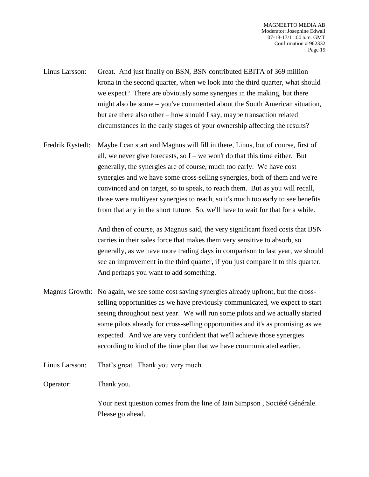- Linus Larsson: Great. And just finally on BSN, BSN contributed EBITA of 369 million krona in the second quarter, when we look into the third quarter, what should we expect? There are obviously some synergies in the making, but there might also be some – you've commented about the South American situation, but are there also other – how should I say, maybe transaction related circumstances in the early stages of your ownership affecting the results?
- Fredrik Rystedt: Maybe I can start and Magnus will fill in there, Linus, but of course, first of all, we never give forecasts, so  $I$  – we won't do that this time either. But generally, the synergies are of course, much too early. We have cost synergies and we have some cross-selling synergies, both of them and we're convinced and on target, so to speak, to reach them. But as you will recall, those were multiyear synergies to reach, so it's much too early to see benefits from that any in the short future. So, we'll have to wait for that for a while.

And then of course, as Magnus said, the very significant fixed costs that BSN carries in their sales force that makes them very sensitive to absorb, so generally, as we have more trading days in comparison to last year, we should see an improvement in the third quarter, if you just compare it to this quarter. And perhaps you want to add something.

- Magnus Growth: No again, we see some cost saving synergies already upfront, but the crossselling opportunities as we have previously communicated, we expect to start seeing throughout next year. We will run some pilots and we actually started some pilots already for cross-selling opportunities and it's as promising as we expected. And we are very confident that we'll achieve those synergies according to kind of the time plan that we have communicated earlier.
- Linus Larsson: That's great. Thank you very much.
- Operator: Thank you.

Your next question comes from the line of Iain Simpson , Société Générale. Please go ahead.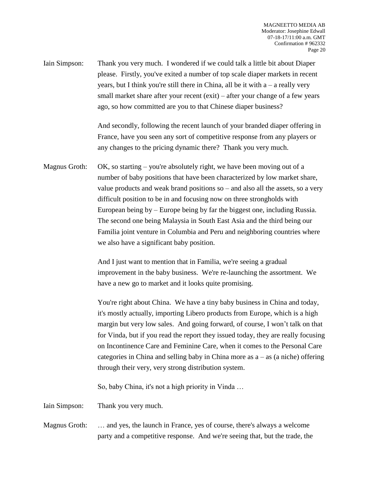Iain Simpson: Thank you very much. I wondered if we could talk a little bit about Diaper please. Firstly, you've exited a number of top scale diaper markets in recent years, but I think you're still there in China, all be it with  $a - a$  really very small market share after your recent (exit) – after your change of a few years ago, so how committed are you to that Chinese diaper business?

> And secondly, following the recent launch of your branded diaper offering in France, have you seen any sort of competitive response from any players or any changes to the pricing dynamic there? Thank you very much.

Magnus Groth:  $OK$ , so starting – you're absolutely right, we have been moving out of a number of baby positions that have been characterized by low market share, value products and weak brand positions so – and also all the assets, so a very difficult position to be in and focusing now on three strongholds with European being by – Europe being by far the biggest one, including Russia. The second one being Malaysia in South East Asia and the third being our Familia joint venture in Columbia and Peru and neighboring countries where we also have a significant baby position.

> And I just want to mention that in Familia, we're seeing a gradual improvement in the baby business. We're re-launching the assortment. We have a new go to market and it looks quite promising.

You're right about China. We have a tiny baby business in China and today, it's mostly actually, importing Libero products from Europe, which is a high margin but very low sales. And going forward, of course, I won't talk on that for Vinda, but if you read the report they issued today, they are really focusing on Incontinence Care and Feminine Care, when it comes to the Personal Care categories in China and selling baby in China more as  $a - as$  (a niche) offering through their very, very strong distribution system.

So, baby China, it's not a high priority in Vinda …

Iain Simpson: Thank you very much.

Magnus Groth: … and yes, the launch in France, yes of course, there's always a welcome party and a competitive response. And we're seeing that, but the trade, the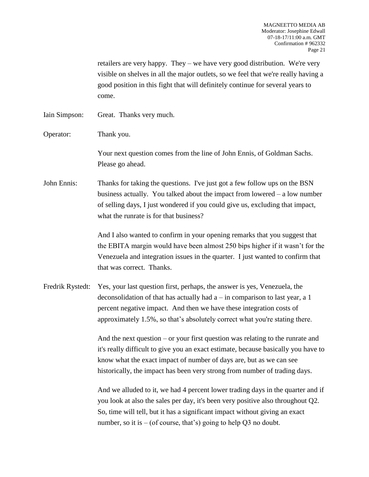retailers are very happy. They – we have very good distribution. We're very visible on shelves in all the major outlets, so we feel that we're really having a good position in this fight that will definitely continue for several years to come.

Iain Simpson: Great. Thanks very much.

Operator: Thank you.

Your next question comes from the line of John Ennis, of Goldman Sachs. Please go ahead.

John Ennis: Thanks for taking the questions. I've just got a few follow ups on the BSN business actually. You talked about the impact from lowered – a low number of selling days, I just wondered if you could give us, excluding that impact, what the runrate is for that business?

> And I also wanted to confirm in your opening remarks that you suggest that the EBITA margin would have been almost 250 bips higher if it wasn't for the Venezuela and integration issues in the quarter. I just wanted to confirm that that was correct. Thanks.

Fredrik Rystedt: Yes, your last question first, perhaps, the answer is yes, Venezuela, the deconsolidation of that has actually had  $a - in$  comparison to last year, a 1 percent negative impact. And then we have these integration costs of approximately 1.5%, so that's absolutely correct what you're stating there.

> And the next question – or your first question was relating to the runrate and it's really difficult to give you an exact estimate, because basically you have to know what the exact impact of number of days are, but as we can see historically, the impact has been very strong from number of trading days.

> And we alluded to it, we had 4 percent lower trading days in the quarter and if you look at also the sales per day, it's been very positive also throughout Q2. So, time will tell, but it has a significant impact without giving an exact number, so it is  $-$  (of course, that's) going to help Q3 no doubt.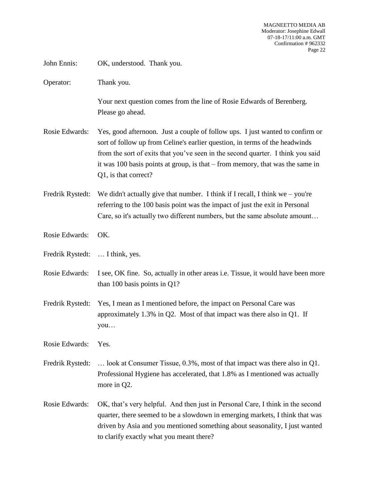MAGNEETTO MEDIA AB Moderator: Josephine Edwall 07-18-17/11:00 a.m. GMT Confirmation # 962332 Page 22

John Ennis: OK, understood. Thank you.

Operator: Thank you.

Your next question comes from the line of Rosie Edwards of Berenberg. Please go ahead.

- Rosie Edwards: Yes, good afternoon. Just a couple of follow ups. I just wanted to confirm or sort of follow up from Celine's earlier question, in terms of the headwinds from the sort of exits that you've seen in the second quarter. I think you said it was 100 basis points at group, is that – from memory, that was the same in Q1, is that correct?
- Fredrik Rystedt: We didn't actually give that number. I think if I recall, I think we you're referring to the 100 basis point was the impact of just the exit in Personal Care, so it's actually two different numbers, but the same absolute amount…
- Rosie Edwards: OK.
- Fredrik Rystedt: … I think, yes.
- Rosie Edwards: I see, OK fine. So, actually in other areas i.e. Tissue, it would have been more than 100 basis points in Q1?
- Fredrik Rystedt: Yes, I mean as I mentioned before, the impact on Personal Care was approximately 1.3% in Q2. Most of that impact was there also in Q1. If you…

Rosie Edwards: Yes.

- Fredrik Rystedt: ... look at Consumer Tissue, 0.3%, most of that impact was there also in Q1. Professional Hygiene has accelerated, that 1.8% as I mentioned was actually more in Q2.
- Rosie Edwards: OK, that's very helpful. And then just in Personal Care, I think in the second quarter, there seemed to be a slowdown in emerging markets, I think that was driven by Asia and you mentioned something about seasonality, I just wanted to clarify exactly what you meant there?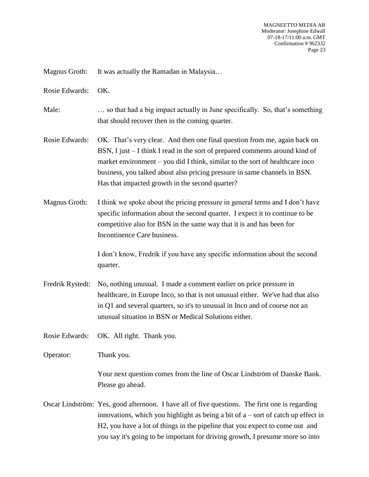Magnus Groth: It was actually the Ramadan in Malaysia...

Rosie Edwards: OK.

Male: … so that had a big impact actually in June specifically. So, that's something that should recover then in the coming quarter.

- Rosie Edwards: OK. That's very clear. And then one final question from me, again back on BSN, I just – I think I read in the sort of prepared comments around kind of market environment – you did I think, similar to the sort of healthcare inco business, you talked about also pricing pressure in same channels in BSN. Has that impacted growth in the second quarter?
- Magnus Groth: I think we spoke about the pricing pressure in general terms and I don't have specific information about the second quarter. I expect it to continue to be competitive also for BSN in the same way that it is and has been for Incontinence Care business.

I don't know, Fredrik if you have any specific information about the second quarter.

Fredrik Rystedt: No, nothing unusual. I made a comment earlier on price pressure in healthcare, in Europe Inco, so that is not unusual either. We've had that also in Q1 and several quarters, so it's to unusual in Inco and of course not an unusual situation in BSN or Medical Solutions either.

Rosie Edwards: OK. All right. Thank you.

Operator: Thank you.

Your next question comes from the line of Oscar Lindström of Danske Bank. Please go ahead.

Oscar Lindström: Yes, good afternoon. I have all of five questions. The first one is regarding innovations, which you highlight as being a bit of  $a$  – sort of catch up effect in H2, you have a lot of things in the pipeline that you expect to come out and you say it's going to be important for driving growth, I presume more so into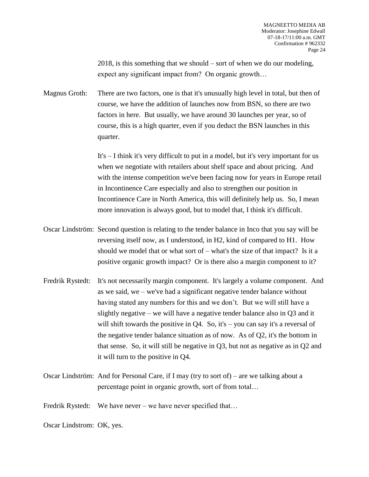2018, is this something that we should – sort of when we do our modeling, expect any significant impact from? On organic growth…

Magnus Groth: There are two factors, one is that it's unusually high level in total, but then of course, we have the addition of launches now from BSN, so there are two factors in here. But usually, we have around 30 launches per year, so of course, this is a high quarter, even if you deduct the BSN launches in this quarter.

> It's – I think it's very difficult to put in a model, but it's very important for us when we negotiate with retailers about shelf space and about pricing. And with the intense competition we've been facing now for years in Europe retail in Incontinence Care especially and also to strengthen our position in Incontinence Care in North America, this will definitely help us. So, I mean more innovation is always good, but to model that, I think it's difficult.

- Oscar Lindström: Second question is relating to the tender balance in Inco that you say will be reversing itself now, as I understood, in H2, kind of compared to H1. How should we model that or what sort of  $-$  what's the size of that impact? Is it a positive organic growth impact? Or is there also a margin component to it?
- Fredrik Rystedt: It's not necessarily margin component. It's largely a volume component. And as we said, we – we've had a significant negative tender balance without having stated any numbers for this and we don't. But we will still have a slightly negative – we will have a negative tender balance also in Q3 and it will shift towards the positive in Q4. So, it's – you can say it's a reversal of the negative tender balance situation as of now. As of Q2, it's the bottom in that sense. So, it will still be negative in Q3, but not as negative as in Q2 and it will turn to the positive in Q4.
- Oscar Lindström: And for Personal Care, if I may (try to sort of) are we talking about a percentage point in organic growth, sort of from total…

Fredrik Rystedt: We have never – we have never specified that...

Oscar Lindstrom: OK, yes.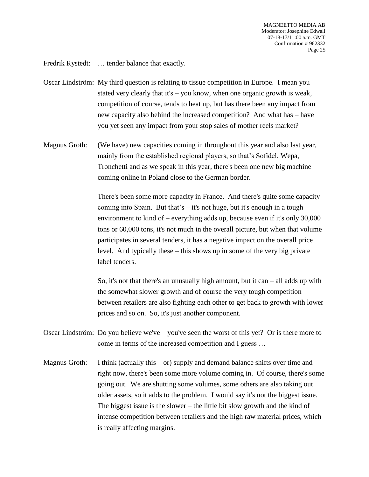Fredrik Rystedt: ... tender balance that exactly.

- Oscar Lindström: My third question is relating to tissue competition in Europe. I mean you stated very clearly that it's – you know, when one organic growth is weak, competition of course, tends to heat up, but has there been any impact from new capacity also behind the increased competition? And what has – have you yet seen any impact from your stop sales of mother reels market?
- Magnus Groth: (We have) new capacities coming in throughout this year and also last year, mainly from the established regional players, so that's Sofidel, Wepa, Tronchetti and as we speak in this year, there's been one new big machine coming online in Poland close to the German border.

There's been some more capacity in France. And there's quite some capacity coming into Spain. But that's  $-$  it's not huge, but it's enough in a tough environment to kind of – everything adds up, because even if it's only 30,000 tons or 60,000 tons, it's not much in the overall picture, but when that volume participates in several tenders, it has a negative impact on the overall price level. And typically these – this shows up in some of the very big private label tenders.

So, it's not that there's an unusually high amount, but it can  $-$  all adds up with the somewhat slower growth and of course the very tough competition between retailers are also fighting each other to get back to growth with lower prices and so on. So, it's just another component.

- Oscar Lindström: Do you believe we've you've seen the worst of this yet? Or is there more to come in terms of the increased competition and I guess …
- Magnus Groth: I think (actually this  $-\sigma r$ ) supply and demand balance shifts over time and right now, there's been some more volume coming in. Of course, there's some going out. We are shutting some volumes, some others are also taking out older assets, so it adds to the problem. I would say it's not the biggest issue. The biggest issue is the slower – the little bit slow growth and the kind of intense competition between retailers and the high raw material prices, which is really affecting margins.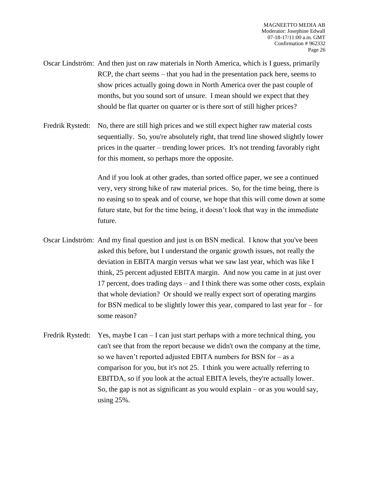- Oscar Lindström: And then just on raw materials in North America, which is I guess, primarily RCP, the chart seems – that you had in the presentation pack here, seems to show prices actually going down in North America over the past couple of months, but you sound sort of unsure. I mean should we expect that they should be flat quarter on quarter or is there sort of still higher prices?
- Fredrik Rystedt: No, there are still high prices and we still expect higher raw material costs sequentially. So, you're absolutely right, that trend line showed slightly lower prices in the quarter – trending lower prices. It's not trending favorably right for this moment, so perhaps more the opposite.

And if you look at other grades, than sorted office paper, we see a continued very, very strong hike of raw material prices. So, for the time being, there is no easing so to speak and of course, we hope that this will come down at some future state, but for the time being, it doesn't look that way in the immediate future.

- Oscar Lindström: And my final question and just is on BSN medical. I know that you've been asked this before, but I understand the organic growth issues, not really the deviation in EBITA margin versus what we saw last year, which was like I think, 25 percent adjusted EBITA margin. And now you came in at just over 17 percent, does trading days – and I think there was some other costs, explain that whole deviation? Or should we really expect sort of operating margins for BSN medical to be slightly lower this year, compared to last year for – for some reason?
- Fredrik Rystedt: Yes, maybe I can  $-I$  can just start perhaps with a more technical thing, you can't see that from the report because we didn't own the company at the time, so we haven't reported adjusted EBITA numbers for BSN for – as a comparison for you, but it's not 25. I think you were actually referring to EBITDA, so if you look at the actual EBITA levels, they're actually lower. So, the gap is not as significant as you would explain – or as you would say, using 25%.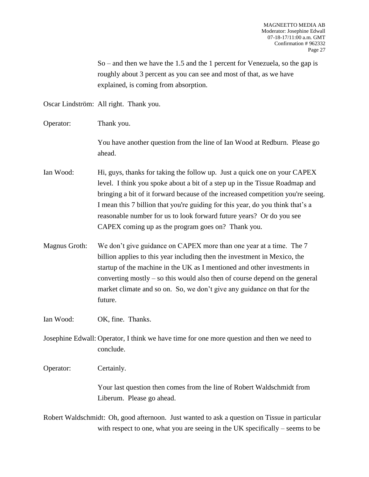So – and then we have the 1.5 and the 1 percent for Venezuela, so the gap is roughly about 3 percent as you can see and most of that, as we have explained, is coming from absorption.

Oscar Lindström: All right. Thank you.

Operator: Thank you.

You have another question from the line of Ian Wood at Redburn. Please go ahead.

- Ian Wood: Hi, guys, thanks for taking the follow up. Just a quick one on your CAPEX level. I think you spoke about a bit of a step up in the Tissue Roadmap and bringing a bit of it forward because of the increased competition you're seeing. I mean this 7 billion that you're guiding for this year, do you think that's a reasonable number for us to look forward future years? Or do you see CAPEX coming up as the program goes on? Thank you.
- Magnus Groth: We don't give guidance on CAPEX more than one year at a time. The 7 billion applies to this year including then the investment in Mexico, the startup of the machine in the UK as I mentioned and other investments in converting mostly – so this would also then of course depend on the general market climate and so on. So, we don't give any guidance on that for the future.

Ian Wood: OK, fine. Thanks.

Josephine Edwall: Operator, I think we have time for one more question and then we need to conclude.

Operator: Certainly.

Your last question then comes from the line of Robert Waldschmidt from Liberum. Please go ahead.

Robert Waldschmidt: Oh, good afternoon. Just wanted to ask a question on Tissue in particular with respect to one, what you are seeing in the UK specifically – seems to be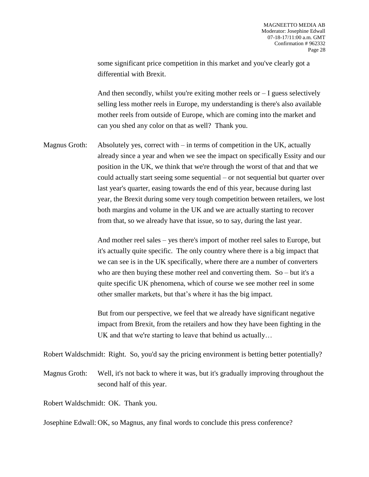some significant price competition in this market and you've clearly got a differential with Brexit.

And then secondly, whilst you're exiting mother reels or  $-1$  guess selectively selling less mother reels in Europe, my understanding is there's also available mother reels from outside of Europe, which are coming into the market and can you shed any color on that as well? Thank you.

Magnus Groth: Absolutely yes, correct with  $-$  in terms of competition in the UK, actually already since a year and when we see the impact on specifically Essity and our position in the UK, we think that we're through the worst of that and that we could actually start seeing some sequential – or not sequential but quarter over last year's quarter, easing towards the end of this year, because during last year, the Brexit during some very tough competition between retailers, we lost both margins and volume in the UK and we are actually starting to recover from that, so we already have that issue, so to say, during the last year.

> And mother reel sales – yes there's import of mother reel sales to Europe, but it's actually quite specific. The only country where there is a big impact that we can see is in the UK specifically, where there are a number of converters who are then buying these mother reel and converting them. So – but it's a quite specific UK phenomena, which of course we see mother reel in some other smaller markets, but that's where it has the big impact.

> But from our perspective, we feel that we already have significant negative impact from Brexit, from the retailers and how they have been fighting in the UK and that we're starting to leave that behind us actually…

Robert Waldschmidt: Right. So, you'd say the pricing environment is betting better potentially?

Magnus Groth: Well, it's not back to where it was, but it's gradually improving throughout the second half of this year.

Robert Waldschmidt: OK. Thank you.

Josephine Edwall: OK, so Magnus, any final words to conclude this press conference?